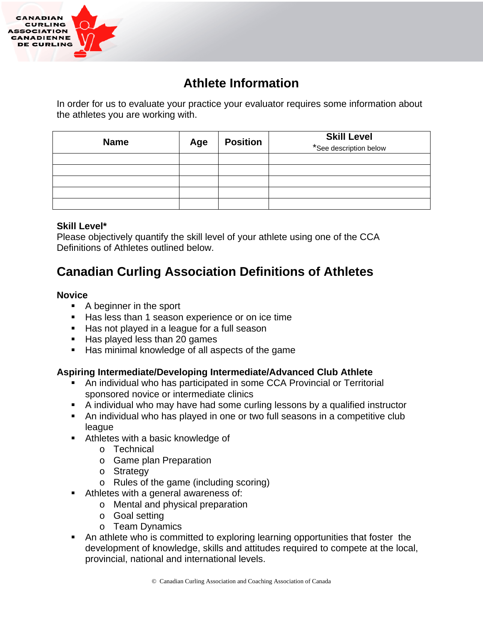

## **Athlete Information**

In order for us to evaluate your practice your evaluator requires some information about the athletes you are working with.

| <b>Name</b> | Age | <b>Position</b> | <b>Skill Level</b><br>*See description below |
|-------------|-----|-----------------|----------------------------------------------|
|             |     |                 |                                              |
|             |     |                 |                                              |
|             |     |                 |                                              |
|             |     |                 |                                              |
|             |     |                 |                                              |

## **Skill Level\***

Please objectively quantify the skill level of your athlete using one of the CCA Definitions of Athletes outlined below.

# **Canadian Curling Association Definitions of Athletes**

## **Novice**

- A beginner in the sport
- Has less than 1 season experience or on ice time
- Has not played in a league for a full season
- Has played less than 20 games
- Has minimal knowledge of all aspects of the game

## **Aspiring Intermediate/Developing Intermediate/Advanced Club Athlete**

- An individual who has participated in some CCA Provincial or Territorial sponsored novice or intermediate clinics
- A individual who may have had some curling lessons by a qualified instructor
- An individual who has played in one or two full seasons in a competitive club league
- Athletes with a basic knowledge of
	- o Technical
	- o Game plan Preparation
	- o Strategy
	- o Rules of the game (including scoring)
- Athletes with a general awareness of:
	- o Mental and physical preparation
	- o Goal setting
	- o Team Dynamics
- An athlete who is committed to exploring learning opportunities that foster the development of knowledge, skills and attitudes required to compete at the local, provincial, national and international levels.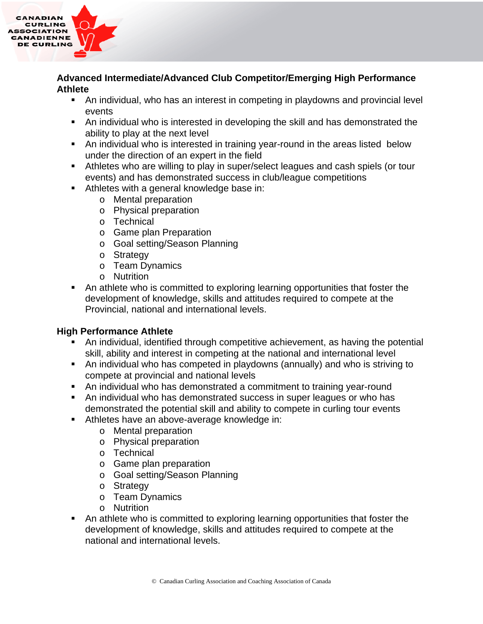

### **Advanced Intermediate/Advanced Club Competitor/Emerging High Performance Athlete**

- An individual, who has an interest in competing in playdowns and provincial level events
- An individual who is interested in developing the skill and has demonstrated the ability to play at the next level
- An individual who is interested in training year-round in the areas listed below under the direction of an expert in the field
- Athletes who are willing to play in super/select leagues and cash spiels (or tour events) and has demonstrated success in club/league competitions
- Athletes with a general knowledge base in:
	- o Mental preparation
	- o Physical preparation
	- o Technical
	- o Game plan Preparation
	- o Goal setting/Season Planning
	- o Strategy
	- o Team Dynamics
	- o Nutrition
- An athlete who is committed to exploring learning opportunities that foster the development of knowledge, skills and attitudes required to compete at the Provincial, national and international levels.

## **High Performance Athlete**

- An individual, identified through competitive achievement, as having the potential skill, ability and interest in competing at the national and international level
- An individual who has competed in playdowns (annually) and who is striving to compete at provincial and national levels
- An individual who has demonstrated a commitment to training year-round
- An individual who has demonstrated success in super leagues or who has demonstrated the potential skill and ability to compete in curling tour events
- Athletes have an above-average knowledge in:
	- o Mental preparation
	- o Physical preparation
	- o Technical
	- o Game plan preparation
	- o Goal setting/Season Planning
	- o Strategy
	- o Team Dynamics
	- o Nutrition
- An athlete who is committed to exploring learning opportunities that foster the development of knowledge, skills and attitudes required to compete at the national and international levels.